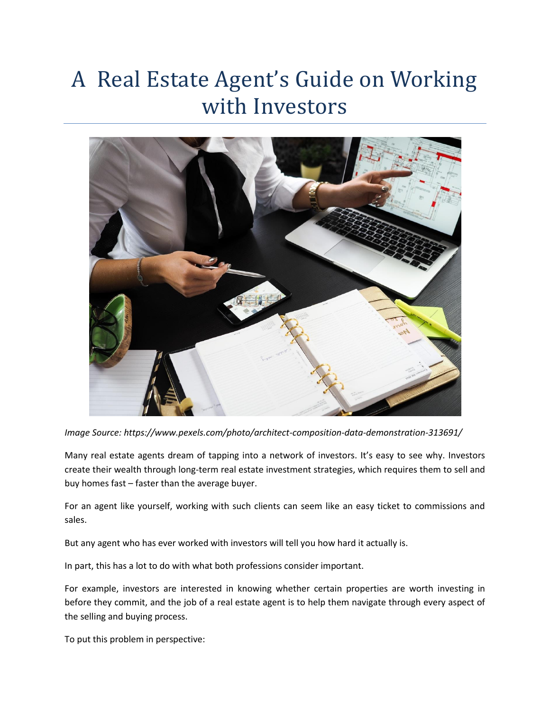## A Real Estate Agent's Guide on Working with Investors



*Image Source: https://www.pexels.com/photo/architect-composition-data-demonstration-313691/*

Many real estate agents dream of tapping into a network of investors. It's easy to see why. Investors create their wealth through long-term real estate investment strategies, which requires them to sell and buy homes fast – faster than the average buyer.

For an agent like yourself, working with such clients can seem like an easy ticket to commissions and sales.

But any agent who has ever worked with investors will tell you how hard it actually is.

In part, this has a lot to do with what both professions consider important.

For example, investors are interested in knowing whether certain properties are worth investing in before they commit, and the job of a real estate agent is to help them navigate through every aspect of the selling and buying process.

To put this problem in perspective: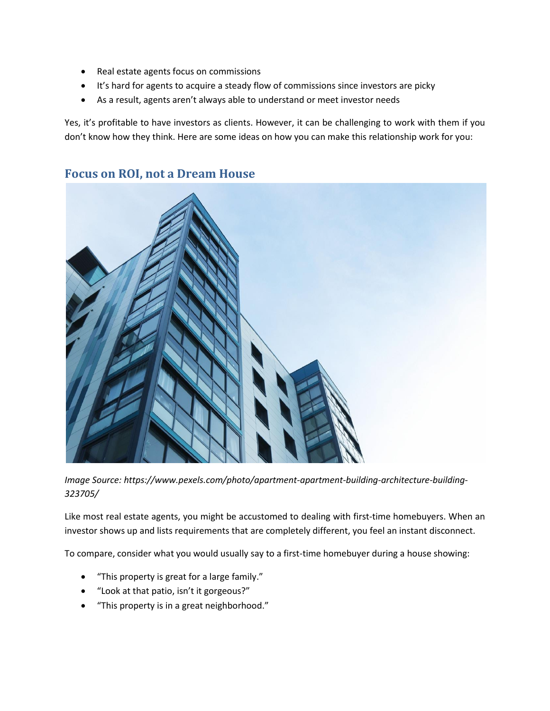- Real estate agents focus on commissions
- It's hard for agents to acquire a steady flow of commissions since investors are picky
- As a result, agents aren't always able to understand or meet investor needs

Yes, it's profitable to have investors as clients. However, it can be challenging to work with them if you don't know how they think. Here are some ideas on how you can make this relationship work for you:



## **Focus on ROI, not a Dream House**

*Image Source: https://www.pexels.com/photo/apartment-apartment-building-architecture-building-323705/*

Like most real estate agents, you might be accustomed to dealing with first-time homebuyers. When an investor shows up and lists requirements that are completely different, you feel an instant disconnect.

To compare, consider what you would usually say to a first-time homebuyer during a house showing:

- "This property is great for a large family."
- "Look at that patio, isn't it gorgeous?"
- "This property is in a great neighborhood."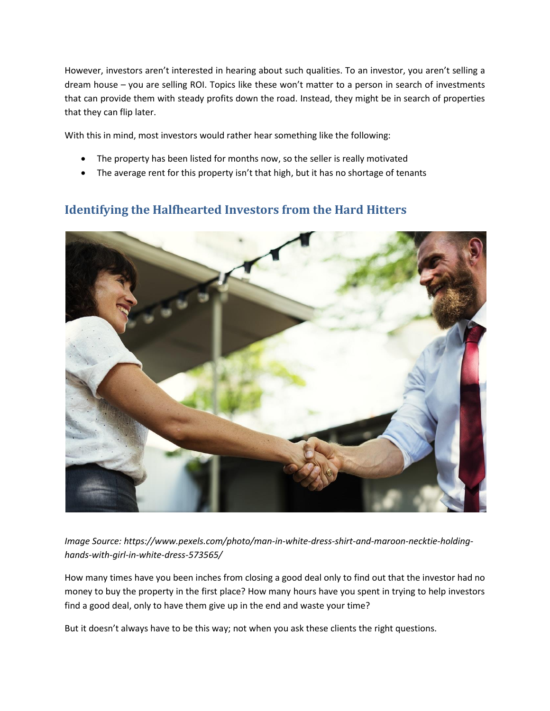However, investors aren't interested in hearing about such qualities. To an investor, you aren't selling a dream house – you are selling ROI. Topics like these won't matter to a person in search of investments that can provide them with steady profits down the road. Instead, they might be in search of properties that they can flip later.

With this in mind, most investors would rather hear something like the following:

- The property has been listed for months now, so the seller is really motivated
- The average rent for this property isn't that high, but it has no shortage of tenants

## **Identifying the Halfhearted Investors from the Hard Hitters**



*Image Source: https://www.pexels.com/photo/man-in-white-dress-shirt-and-maroon-necktie-holdinghands-with-girl-in-white-dress-573565/*

How many times have you been inches from closing a good deal only to find out that the investor had no money to buy the property in the first place? How many hours have you spent in trying to help investors find a good deal, only to have them give up in the end and waste your time?

But it doesn't always have to be this way; not when you ask these clients the right questions.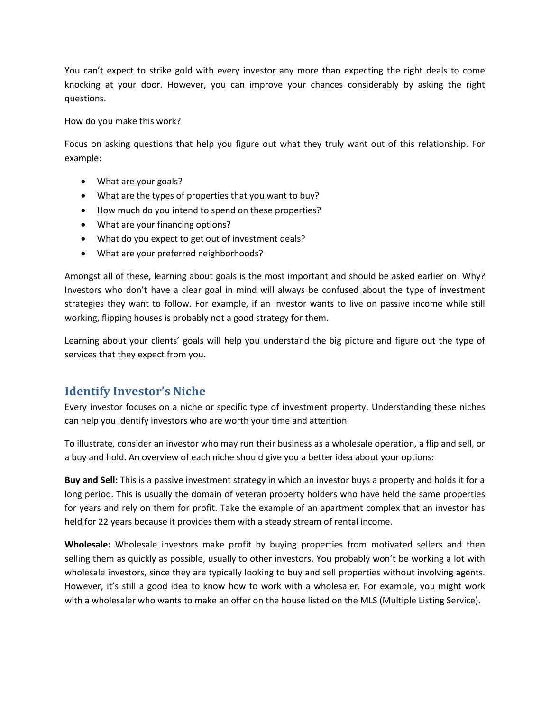You can't expect to strike gold with every investor any more than expecting the right deals to come knocking at your door. However, you can improve your chances considerably by asking the right questions.

How do you make this work?

Focus on asking questions that help you figure out what they truly want out of this relationship. For example:

- What are your goals?
- What are the types of properties that you want to buy?
- How much do you intend to spend on these properties?
- What are your financing options?
- What do you expect to get out of investment deals?
- What are your preferred neighborhoods?

Amongst all of these, learning about goals is the most important and should be asked earlier on. Why? Investors who don't have a clear goal in mind will always be confused about the type of investment strategies they want to follow. For example, if an investor wants to live on passive income while still working, flipping houses is probably not a good strategy for them.

Learning about your clients' goals will help you understand the big picture and figure out the type of services that they expect from you.

## **Identify Investor's Niche**

Every investor focuses on a niche or specific type of investment property. Understanding these niches can help you identify investors who are worth your time and attention.

To illustrate, consider an investor who may run their business as a wholesale operation, a flip and sell, or a buy and hold. An overview of each niche should give you a better idea about your options:

**Buy and Sell:** This is a passive investment strategy in which an investor buys a property and holds it for a long period. This is usually the domain of veteran property holders who have held the same properties for years and rely on them for profit. Take the example of an apartment complex that an investor has held for 22 years because it provides them with a steady stream of rental income.

**Wholesale:** Wholesale investors make profit by buying properties from motivated sellers and then selling them as quickly as possible, usually to other investors. You probably won't be working a lot with wholesale investors, since they are typically looking to buy and sell properties without involving agents. However, it's still a good idea to know how to work with a wholesaler. For example, you might work with a wholesaler who wants to make an offer on the house listed on the MLS (Multiple Listing Service).